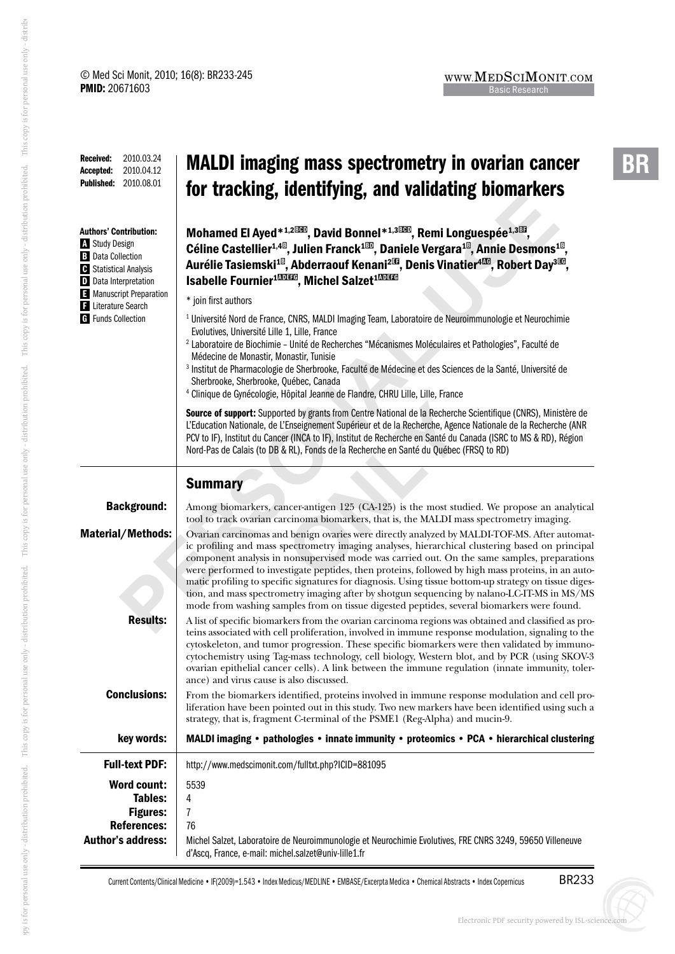| <b>Received:</b><br>2010.03.24<br>2010.04.12<br>Accepted:<br><b>Published:</b><br>2010.08.01                                                                                                       | <b>MALDI imaging mass spectrometry in ovarian cancer</b><br>for tracking, identifying, and validating biomarkers                                                                                                                                                                                                                                                                                                                                                                                                                                                                                                                                                                                            |
|----------------------------------------------------------------------------------------------------------------------------------------------------------------------------------------------------|-------------------------------------------------------------------------------------------------------------------------------------------------------------------------------------------------------------------------------------------------------------------------------------------------------------------------------------------------------------------------------------------------------------------------------------------------------------------------------------------------------------------------------------------------------------------------------------------------------------------------------------------------------------------------------------------------------------|
| <b>Authors' Contribution:</b><br><b>Study Design</b><br><b>B</b> Data Collection<br><b>C</b> Statistical Analysis<br>D Data Interpretation<br>Manuscript Preparation<br><b>E</b> Literature Search | Mohamed El Ayed* <sup>1,2000</sup> , David Bonnel* <sup>1,3000</sup> , Remi Longuespée <sup>1,303</sup> ,<br>Céline Castellier <sup>1,48</sup> , Julien Franck <sup>180</sup> , Daniele Vergara <sup>18</sup> , Annie Desmons <sup>18</sup> ,<br>Aurélie Tasiemski <sup>10</sup> , Abderraouf Kenani <sup>213</sup> , Denis Vinatier <sup>4136</sup> , Robert Day <sup>3136</sup> ,<br>Isabelle Fournier <sup>10033</sup> , Michel Salzet <sup>10033</sup><br>* join first authors                                                                                                                                                                                                                          |
| <b>G</b> Funds Collection                                                                                                                                                                          | <sup>1</sup> Université Nord de France, CNRS, MALDI Imaging Team, Laboratoire de Neuroimmunologie et Neurochimie<br>Evolutives, Université Lille 1, Lille, France<br><sup>2</sup> Laboratoire de Biochimie - Unité de Recherches "Mécanismes Moléculaires et Pathologies", Faculté de<br>Médecine de Monastir, Monastir, Tunisie<br><sup>3</sup> Institut de Pharmacologie de Sherbrooke, Faculté de Médecine et des Sciences de la Santé, Université de<br>Sherbrooke, Sherbrooke, Québec, Canada<br><sup>4</sup> Clinique de Gynécologie, Hôpital Jeanne de Flandre, CHRU Lille, Lille, France                                                                                                            |
|                                                                                                                                                                                                    | Source of support: Supported by grants from Centre National de la Recherche Scientifique (CNRS), Ministère de<br>L'Education Nationale, de L'Enseignement Supérieur et de la Recherche, Agence Nationale de la Recherche (ANR<br>PCV to IF), Institut du Cancer (INCA to IF), Institut de Recherche en Santé du Canada (ISRC to MS & RD), Région<br>Nord-Pas de Calais (to DB & RL), Fonds de la Recherche en Santé du Québec (FRSQ to RD)                                                                                                                                                                                                                                                                  |
|                                                                                                                                                                                                    | <b>Summary</b>                                                                                                                                                                                                                                                                                                                                                                                                                                                                                                                                                                                                                                                                                              |
| <b>Background:</b>                                                                                                                                                                                 | Among biomarkers, cancer-antigen 125 (CA-125) is the most studied. We propose an analytical<br>tool to track ovarian carcinoma biomarkers, that is, the MALDI mass spectrometry imaging.                                                                                                                                                                                                                                                                                                                                                                                                                                                                                                                    |
| <b>Material/Methods:</b>                                                                                                                                                                           | Ovarian carcinomas and benign ovaries were directly analyzed by MALDI-TOF-MS. After automat-<br>ic profiling and mass spectrometry imaging analyses, hierarchical clustering based on principal<br>component analysis in nonsupervised mode was carried out. On the same samples, preparations<br>were performed to investigate peptides, then proteins, followed by high mass proteins, in an auto-<br>matic profiling to specific signatures for diagnosis. Using tissue bottom-up strategy on tissue diges-<br>tion, and mass spectrometry imaging after by shotgun sequencing by nalano-LC-IT-MS in MS/MS<br>mode from washing samples from on tissue digested peptides, several biomarkers were found. |
| <b>Results:</b>                                                                                                                                                                                    | A list of specific biomarkers from the ovarian carcinoma regions was obtained and classified as pro-<br>teins associated with cell proliferation, involved in immune response modulation, signaling to the<br>cytoskeleton, and tumor progression. These specific biomarkers were then validated by immuno-<br>cytochemistry using Tag-mass technology, cell biology, Western blot, and by PCR (using SKOV-3<br>ovarian epithelial cancer cells). A link between the immune regulation (innate immunity, toler-<br>ance) and virus cause is also discussed.                                                                                                                                                 |
| <b>Conclusions:</b>                                                                                                                                                                                | From the biomarkers identified, proteins involved in immune response modulation and cell pro-<br>liferation have been pointed out in this study. Two new markers have been identified using such a<br>strategy, that is, fragment C-terminal of the PSME1 (Reg-Alpha) and mucin-9.                                                                                                                                                                                                                                                                                                                                                                                                                          |
| key words:                                                                                                                                                                                         | MALDI imaging • pathologies • innate immunity • proteomics • PCA • hierarchical clustering                                                                                                                                                                                                                                                                                                                                                                                                                                                                                                                                                                                                                  |
| <b>Full-text PDF:</b>                                                                                                                                                                              | http://www.medscimonit.com/fulltxt.php?ICID=881095                                                                                                                                                                                                                                                                                                                                                                                                                                                                                                                                                                                                                                                          |
| <b>Word count:</b><br>Tables:<br><b>Figures:</b><br><b>References:</b><br><b>Author's address:</b>                                                                                                 | 5539<br>4<br>7<br>76<br>Michel Salzet, Laboratoire de Neuroimmunologie et Neurochimie Evolutives, FRE CNRS 3249, 59650 Villeneuve<br>d'Ascq, France, e-mail: michel.salzet@univ-lille1.fr                                                                                                                                                                                                                                                                                                                                                                                                                                                                                                                   |

Current Contents/Clinical Medicine • IF(2009)=1.543 • Index Medicus/MEDLINE • EMBASE/Excerpta Medica • Chemical Abstracts • Index Copernicus

BR233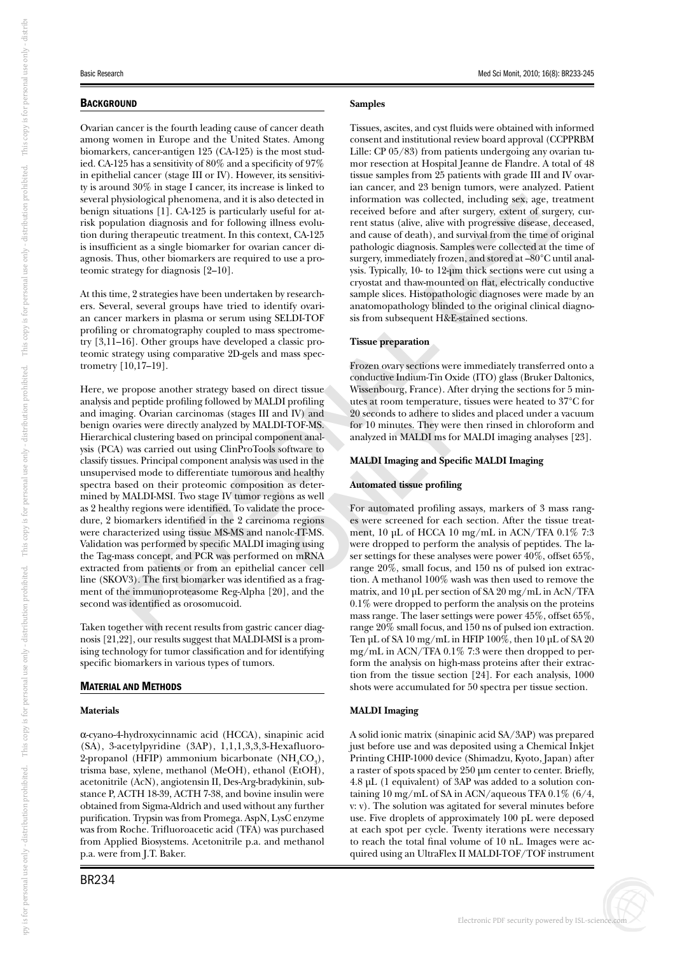## **BACKGROUND**

Ovarian cancer is the fourth leading cause of cancer death among women in Europe and the United States. Among biomarkers, cancer-antigen 125 (CA-125) is the most studied. CA-125 has a sensitivity of 80% and a specificity of 97% in epithelial cancer (stage III or IV). However, its sensitivity is around 30% in stage I cancer, its increase is linked to several physiological phenomena, and it is also detected in benign situations [1]. CA-125 is particularly useful for atrisk population diagnosis and for following illness evolution during therapeutic treatment. In this context, CA-125 is insufficient as a single biomarker for ovarian cancer diagnosis. Thus, other biomarkers are required to use a proteomic strategy for diagnosis [2–10].

At this time, 2 strategies have been undertaken by researchers. Several, several groups have tried to identify ovarian cancer markers in plasma or serum using SELDI-TOF profiling or chromatography coupled to mass spectrometry [3,11–16]. Other groups have developed a classic proteomic strategy using comparative 2D-gels and mass spectrometry  $[10, 17 - 19]$ .

extracted from patients of from an epithelial cancer cent<br>line (SKOV3). The first biomarker was identified as a frag-<br>ment of the immunoproteasome Reg-Alpha [20], and the<br>second was identified as orosomucoid.<br>Taken togethe In plasma or serum using SELDI-TOF sis from subsequent H&E<br>
matorgraphy coupled to mass spectrome-<br>
ther groups have developed a classic pro-<br>
IP).<br>
Frozen ovary sections were<br>
lengthendium-Tim Objects and mass spec-<br>
Froz Here, we propose another strategy based on direct tissue analysis and peptide profiling followed by MALDI profiling and imaging. Ovarian carcinomas (stages III and IV) and benign ovaries were directly analyzed by MALDI-TOF-MS. Hierarchical clustering based on principal component analysis (PCA) was carried out using ClinProTools software to classify tissues. Principal component analysis was used in the unsupervised mode to differentiate tumorous and healthy spectra based on their proteomic composition as determined by MALDI-MSI. Two stage IV tumor regions as well as 2 healthy regions were identified. To validate the procedure, 2 biomarkers identified in the 2 carcinoma regions were characterized using tissue MS-MS and nanolc-IT-MS. Validation was performed by specific MALDI imaging using the Tag-mass concept, and PCR was performed on mRNA extracted from patients or from an epithelial cancer cell ment of the immunoproteasome Reg-Alpha [20], and the second was identified as orosomucoid.

Taken together with recent results from gastric cancer diagnosis [21,22], our results suggest that MALDI-MSI is a promising technology for tumor classification and for identifying specific biomarkers in various types of tumors.

## MATERIAL AND METHODS

## **Materials**

a-cyano-4-hydroxycinnamic acid (HCCA), sinapinic acid (SA), 3-acetylpyridine (3AP), 1,1,1,3,3,3-Hexafluoro-2-propanol (HFIP) ammonium bicarbonate ( $NH_{4}CO_{3}$ ), trisma base, xylene, methanol (MeOH), ethanol (EtOH), acetonitrile (AcN), angiotensin II, Des-Arg-bradykinin, substance P, ACTH 18-39, ACTH 7-38, and bovine insulin were obtained from Sigma-Aldrich and used without any further purification. Trypsin was from Promega. AspN, LysC enzyme was from Roche. Trifluoroacetic acid (TFA) was purchased from Applied Biosystems. Acetonitrile p.a. and methanol p.a. were from J.T. Baker.

#### Basic Research Med Sci Monit, 2010; 16(8): BR233-245

## **Samples**

collected, including sex, age, tr<br>and after surgery, extent of surg<br>alive with progressive disease, d<br>h), and survival from the time of<br>osis. Samples were collected at the<br>tely frozen, and stored at –80°C u<br>to 12-µm thick Tissues, ascites, and cyst fluids were obtained with informed consent and institutional review board approval (CCPPRBM Lille: CP 05/83) from patients undergoing any ovarian tumor resection at Hospital Jeanne de Flandre. A total of 48 tissue samples from 25 patients with grade III and IV ovarian cancer, and 23 benign tumors, were analyzed. Patient information was collected, including sex, age, treatment received before and after surgery, extent of surgery, current status (alive, alive with progressive disease, deceased, and cause of death), and survival from the time of original pathologic diagnosis. Samples were collected at the time of surgery, immediately frozen, and stored at –80°C until analysis. Typically, 10- to 12-μm thick sections were cut using a cryostat and thaw-mounted on flat, electrically conductive sample slices. Histopathologic diagnoses were made by an anatomopathology blinded to the original clinical diagnosis from subsequent H&E-stained sections.

## **Tissue preparation**

Frozen ovary sections were immediately transferred onto a conductive Indium-Tin Oxide (ITO) glass (Bruker Daltonics, Wissenbourg, France). After drying the sections for 5 minutes at room temperature, tissues were heated to 37°C for 20 seconds to adhere to slides and placed under a vacuum for 10 minutes. They were then rinsed in chloroform and analyzed in MALDI ms for MALDI imaging analyses [23].

## **MALDI Imaging and Specific MALDI Imaging**

#### **Automated tissue profiling**

profiling<br>
a utes at room temperature,<br>
TOF-MS.<br>
for 10 minutes. They were<br>
nent anal-<br>
analyzed in MALDI ms for<br>
sed in the<br> **MALDI Imaging and Specif**<br>
d healthy<br>
as deter-<br> **Automated tissue profiling**<br>
as exered for ea For automated profiling assays, markers of 3 mass ranges were screened for each section. After the tissue treatment, 10 μL of HCCA 10 mg/mL in ACN/TFA 0.1% 7:3 were dropped to perform the analysis of peptides. The laser settings for these analyses were power  $40\%$ , offset  $65\%$ , range 20%, small focus, and 150 ns of pulsed ion extraction. A methanol 100% wash was then used to remove the matrix, and 10 μL per section of SA 20 mg/mL in AcN/TFA 0.1% were dropped to perform the analysis on the proteins mass range. The laser settings were power 45%, offset 65%, range 20% small focus, and 150 ns of pulsed ion extraction. Ten μL of SA 10 mg/mL in HFIP  $100\%$ , then 10 μL of SA 20 mg/mL in ACN/TFA 0.1% 7:3 were then dropped to perform the analysis on high-mass proteins after their extraction from the tissue section [24]. For each analysis, 1000 shots were accumulated for 50 spectra per tissue section.

## **MALDI Imaging**

A solid ionic matrix (sinapinic acid SA/3AP) was prepared just before use and was deposited using a Chemical Inkjet Printing CHIP-1000 device (Shimadzu, Kyoto, Japan) after a raster of spots spaced by 250 μm center to center. Briefly, 4.8 μL (1 equivalent) of 3AP was added to a solution containing 10 mg/mL of SA in ACN/aqueous TFA 0.1% (6/4, v: v). The solution was agitated for several minutes before use. Five droplets of approximately 100 pL were deposed at each spot per cycle. Twenty iterations were necessary to reach the total final volume of 10 nL. Images were acquired using an UltraFlex II MALDI-TOF/TOF instrument

buti

on prohibi

ted. Thi

s copy i

s for personal use only - di

stribi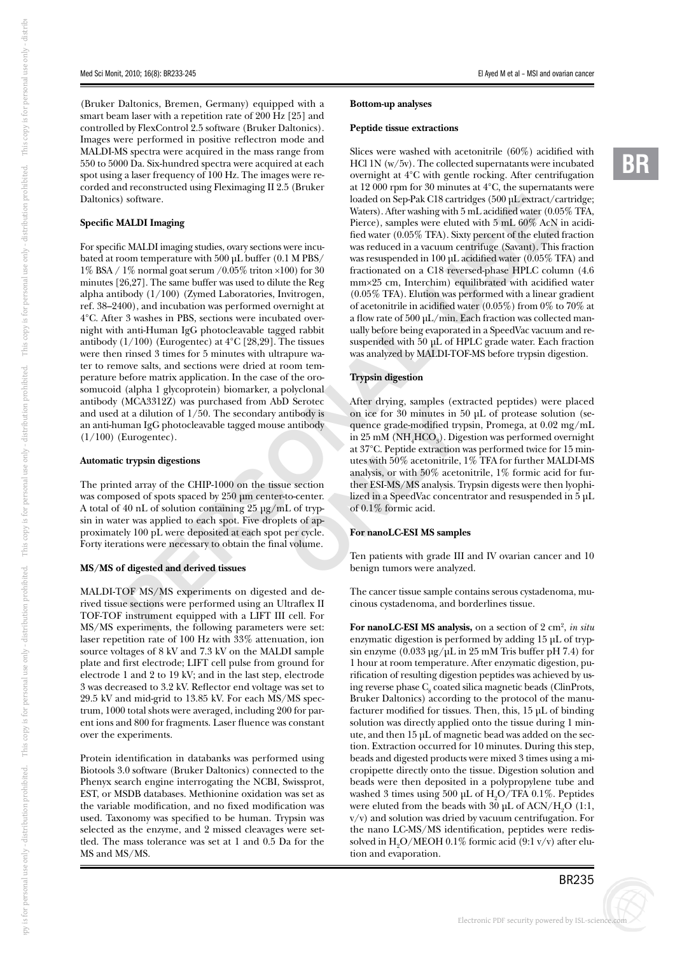(Bruker Daltonics, Bremen, Germany) equipped with a smart beam laser with a repetition rate of 200 Hz [25] and controlled by FlexControl 2.5 software (Bruker Daltonics). Images were performed in positive reflectron mode and MALDI-MS spectra were acquired in the mass range from 550 to 5000 Da. Six-hundred spectra were acquired at each spot using a laser frequency of 100 Hz. The images were recorded and reconstructed using Fleximaging II 2.5 (Bruker Daltonics) software.

## **Specific MALDI Imaging**

es in PBS, sections were incubated over-<br>
unran IgC photocleavable tagged rabbit ulally before being evaporated<br>
(Eurogentec) at 4°C [28,29]. The tissues uspended with 50 µL of<br>
3 times for 5 minutes with ultrapure was an For specific MALDI imaging studies, ovary sections were incubated at room temperature with 500 μL buffer (0.1 M PBS/  $1\%$  BSA /  $1\%$  normal goat serum /0.05% triton  $\times$ 100) for 30 minutes [26,27]. The same buffer was used to dilute the Reg alpha antibody (1/100) (Zymed Laboratories, Invitrogen, ref. 38–2400), and incubation was performed overnight at 4°C. After 3 washes in PBS, sections were incubated overnight with anti-Human IgG photocleavable tagged rabbit antibody  $(1/100)$  (Eurogentec) at  $4^{\circ}$ C [28,29]. The tissues were then rinsed 3 times for 5 minutes with ultrapure water to remove salts, and sections were dried at room temperature before matrix application. In the case of the orosomucoid (alpha 1 glycoprotein) biomarker, a polyclonal antibody (MCA3312Z) was purchased from AbD Serotec and used at a dilution of  $1/50$ . The secondary antibody is an anti-human IgG photocleavable tagged mouse antibody (1/100) (Eurogentec).

#### **Automatic trypsin digestions**

The printed array of the CHIP-1000 on the tissue section was composed of spots spaced by 250 μm center-to-center. A total of 40 nL of solution containing 25 μg/mL of trypsin in water was applied to each spot. Five droplets of approximately 100 pL were deposited at each spot per cycle. Forty iterations were necessary to obtain the final volume.

## **MS/MS of digested and derived tissues**

**FOF MS/MS** experiments of the sections were<br>**F** instrument experiments, th MALDI-TOF MS/MS experiments on digested and derived tissue sections were performed using an Ultraflex II TOF-TOF instrument equipped with a LIFT III cell. For MS/MS experiments, the following parameters were set: laser repetition rate of 100 Hz with 33% attenuation, ion source voltages of 8 kV and 7.3 kV on the MALDI sample plate and first electrode; LIFT cell pulse from ground for electrode 1 and 2 to 19 kV; and in the last step, electrode 3 was decreased to 3.2 kV. Reflector end voltage was set to 29.5 kV and mid-grid to 13.85 kV. For each MS/MS spectrum, 1000 total shots were averaged, including 200 for parent ions and 800 for fragments. Laser fluence was constant over the experiments.

Protein identification in databanks was performed using Biotools 3.0 software (Bruker Daltonics) connected to the Phenyx search engine interrogating the NCBI, Swissprot, EST, or MSDB databases. Methionine oxidation was set as the variable modification, and no fixed modification was used. Taxonomy was specified to be human. Trypsin was selected as the enzyme, and 2 missed cleavages were settled. The mass tolerance was set at 1 and 0.5 Da for the MS and MS/MS.

#### **Bottom-up analyses**

#### **Peptide tissue extractions**

 $\kappa$  C18 cartridges (500 µL extract/c<br>hing with 5 mL acidified water (0.0<br>were eluted with 5 mL 60% AcN<br>TFA). Sixty percent of the eluted<br>wacuum centrifuge (Savant). This<br>in 100 µL acidified water (0.05% T<br>i C18 reversed Slices were washed with acetonitrile (60%) acidified with HCl 1N (w/5v). The collected supernatants were incubated overnight at 4°C with gentle rocking. After centrifugation at 12 000 rpm for 30 minutes at 4°C, the supernatants were loaded on Sep-Pak C18 cartridges (500 μL extract/cartridge; Waters). After washing with 5 mL acidified water (0.05% TFA, Pierce), samples were eluted with 5 mL 60% AcN in acidified water (0.05% TFA). Sixty percent of the eluted fraction was reduced in a vacuum centrifuge (Savant). This fraction was resuspended in 100 μL acidified water (0.05% TFA) and fractionated on a C18 reversed-phase HPLC column (4.6 mm×25 cm, Interchim) equilibrated with acidified water (0.05% TFA). Elution was performed with a linear gradient of acetonitrile in acidified water (0.05%) from 0% to 70% at a flow rate of 500 μL/min. Each fraction was collected manually before being evaporated in a SpeedVac vacuum and resuspended with 50 μL of HPLC grade water. Each fraction was analyzed by MALDI-TOF-MS before trypsin digestion.

## **Trypsin digestion**

Decrease of the dividend and the samples (exhibody is<br>
antibody is<br>
on ice for 30 minutes in 5<br>
antibody<br>
in 25 mM (NH<sub>4</sub>HCO<sub>3</sub>). Dig<br>
at 37°C. Peptide extraction v<br>
utes with 50% acetonitrile,<br>
analysis, or with 50% aceto After drying, samples (extracted peptides) were placed on ice for 30 minutes in 50 μL of protease solution (sequence grade-modified trypsin, Promega, at 0.02 mg/mL in 25 mM (NH 4 HCO 3 ). Digestion was performed overnight at 37°C. Peptide extraction was performed twice for 15 minutes with 50% acetonitrile, 1% TFA for further MALDI-MS analysis, or with 50% acetonitrile, 1% formic acid for further ESI-MS/MS analysis. Trypsin digests were then lyophilized in a SpeedVac concentrator and resuspended in 5 μL of 0.1% formic acid.

## **For nanoLC-ESI MS samples**

Ten patients with grade III and IV ovarian cancer and 10 benign tumors were analyzed.

The cancer tissue sample contains serous cystadenoma, mucinous cystadenoma, and borderlines tissue.

For nanoLC-ESI MS analysis, on a section of 2 cm<sup>2</sup>, *in situ* enzymatic digestion is performed by adding 15 μL of trypsin enzyme  $(0.033 \mu g/\mu L \text{ in } 25 \text{ mM}$  Tris buffer pH 7.4) for 1 hour at room temperature. After enzymatic digestion, purification of resulting digestion peptides was achieved by using reverse phase  $C_8$  coated silica magnetic beads (ClinProts, Bruker Daltonics) according to the protocol of the manufacturer modified for tissues. Then, this, 15 μL of binding solution was directly applied onto the tissue during 1 minute, and then 15 μL of magnetic bead was added on the section. Extraction occurred for 10 minutes. During this step, beads and digested products were mixed 3 times using a micropipette directly onto the tissue. Digestion solution and beads were then deposited in a polypropylene tube and washed 3 times using 500  $\mu$ L of H<sub>2</sub>O/TFA 0.1%. Peptides were eluted from the beads with  $30 \mu$ L of ACN/H<sub>2</sub>O (1:1, v/v) and solution was dried by vacuum centrifugation. For the nano LC-MS/MS identification, peptides were redissolved in  $\rm H_2O/MEOH$  0.1% formic acid (9:1 v/v) after elution and evaporation.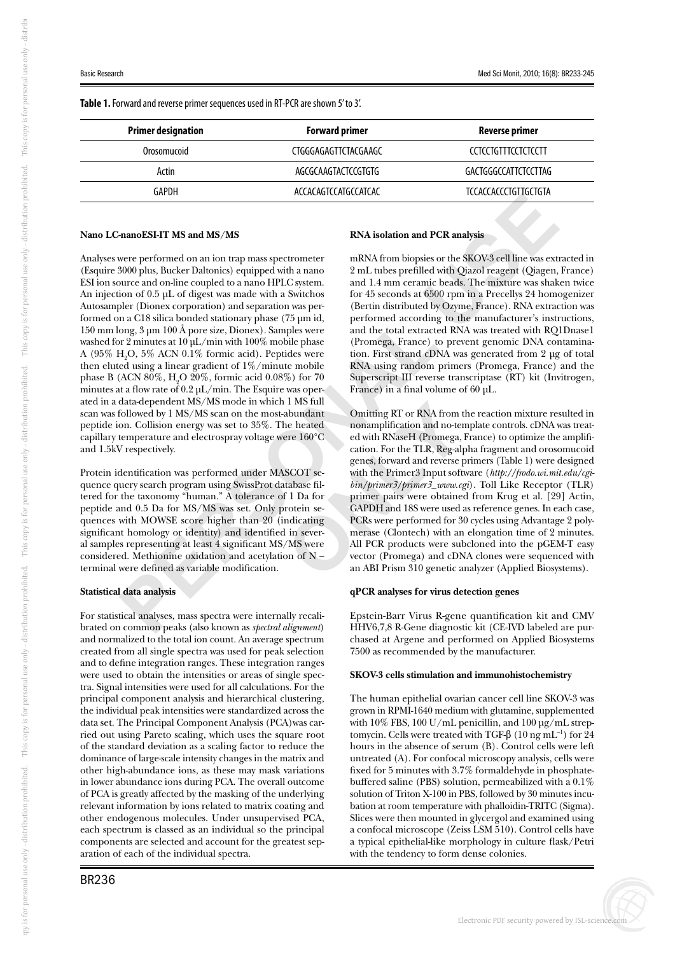**Table 1.** Forward and reverse primer sequences used in RT-PCR are shown 5' to 3'.

| <b>Primer designation</b> | <b>Forward primer</b> | Reverse primer              |  |
|---------------------------|-----------------------|-----------------------------|--|
| Orosomucoid               | CTGGGAGAGTTCTACGAAGC  | CCTCCTGTTTCCTCTCCTT         |  |
| Actin                     | AGCGCAAGTACTCCGTGTG   | GACTGGGCCATTCTCCTTAG        |  |
| GAPDH                     | ACCACAGTCCATGCCATCAC  | <b>TCCACCACCCTGTIGCTGTA</b> |  |
|                           |                       |                             |  |

### **Nano LC-nanoESI-IT MS and MS/MS**

silica bonded stationary phase (75 µm id,<br>
nerformed according to<br>
mubi  $\Delta$  hore size, Dionesy. Samples were<br>
and the total extracted R<br>
rates at 10 µL/min with 100% mobile phase<br>
a linear gradient of 1%/minute mobile<br>
a Analyses were performed on an ion trap mass spectrometer (Esquire 3000 plus, Bucker Daltonics) equipped with a nano ESI ion source and on-line coupled to a nano HPLC system. An injection of 0.5 μL of digest was made with a Switchos Autosampler (Dionex corporation) and separation was performed on a C18 silica bonded stationary phase (75 μm id, 150 mm long, 3 μm 100 Å pore size, Dionex). Samples were washed for 2 minutes at 10 μL/min with 100% mobile phase A (95%  $\rm H_2O$ , 5% ACN 0.1% formic acid). Peptides were then eluted using a linear gradient of 1%/minute mobile phase B (ACN 80%,  $H_2O$  20%, formic acid 0.08%) for 70 minutes at a flow rate of  $0.2 \mu L/min$ . The Esquire was operated in a data-dependent MS/MS mode in which 1 MS full scan was followed by 1 MS/MS scan on the most-abundant peptide ion. Collision energy was set to 35%. The heated capillary temperature and electrospray voltage were 160°C and 1.5kV respectively.

Protein identification was performed under MASCOT sequence query search program using SwissProt database filtered for the taxonomy "human." A tolerance of 1 Da for peptide and 0.5 Da for MS/MS was set. Only protein sequences with MOWSE score higher than 20 (indicating significant homology or identity) and identified in several samples representing at least 4 significant MS/MS were considered. Methionine oxidation and acetylation of N – terminal were defined as variable modification.

#### **Statistical data analysis**

**data analysis<br>| data analysis<br>|tical analyses, m<br>| common peak** For statistical analyses, mass spectra were internally recalibrated on common peaks (also known as *spectral alignment*) and normalized to the total ion count. An average spectrum created from all single spectra was used for peak selection and to define integration ranges. These integration ranges were used to obtain the intensities or areas of single spectra. Signal intensities were used for all calculations. For the principal component analysis and hierarchical clustering, the individual peak intensities were standardized across the data set. The Principal Component Analysis (PCA)was carried out using Pareto scaling, which uses the square root of the standard deviation as a scaling factor to reduce the dominance of large-scale intensity changes in the matrix and other high-abundance ions, as these may mask variations in lower abundance ions during PCA. The overall outcome of PCA is greatly affected by the masking of the underlying relevant information by ions related to matrix coating and other endogenous molecules. Under unsupervised PCA, each spectrum is classed as an individual so the principal components are selected and account for the greatest separation of each of the individual spectra.

#### **RNA isolation and PCR analysis**

d PCR analysis<br>
sies or the SKOV-3 cell line was extited<br>
with Qiazol reagent (Qiagen,<br>
mic beads. The mixture was shak<br>
6500 rpm in a Precellys 24 home<br>
dby Ozyme, France). RNA extraction<br>
dby Ozyme, France). RNA extracti mRNA from biopsies or the SKOV-3 cell line was extracted in 2 mL tubes prefilled with Qiazol reagent (Qiagen, France) and 1.4 mm ceramic beads. The mixture was shaken twice for 45 seconds at 6500 rpm in a Precellys 24 homogenizer (Bertin distributed by Ozyme, France). RNA extraction was performed according to the manufacturer's instructions, and the total extracted RNA was treated with RQ1Dnase1 (Promega, France) to prevent genomic DNA contamination. First strand cDNA was generated from 2 μg of total RNA using random primers (Promega, France) and the Superscript III reverse transcriptase (RT) kit (Invitrogen, France) in a final volume of 60 μL.

T MS full<br>abundant<br>abundant<br>definiting RT or RNA from the heated<br>abundant<br>cerre 160°C ed with RNaseH (Promega,<br>cation. For the TLR, Reg-all<br>genes, forward and reverse p<br>SCOT services in the Primer3 Input soft<br>tabase fil-<br>Omitting RT or RNA from the reaction mixture resulted in nonamplification and no-template controls. cDNA was treated with RNaseH (Promega, France) to optimize the amplification. For the TLR, Reg-alpha fragment and orosomucoid genes, forward and reverse primers (Table 1) were designed with the Primer3 Input software (*http://frodo.wi.mit.edu/cgibin/primer3/primer3\_www.cgi*). Toll Like Receptor (TLR) primer pairs were obtained from Krug et al. [29] Actin, GAPDH and 18S were used as reference genes. In each case, PCRs were performed for 30 cycles using Advantage 2 polymerase (Clontech) with an elongation time of 2 minutes. All PCR products were subcloned into the pGEM-T easy vector (Promega) and cDNA clones were sequenced with an ABI Prism 310 genetic analyzer (Applied Biosystems).

## **qPCR analyses for virus detection genes**

Epstein-Barr Virus R-gene quantification kit and CMV HHV6,7,8 R-Gene diagnostic kit (CE-IVD labeled are purchased at Argene and performed on Applied Biosystems 7500 as recommended by the manufacturer.

## **SKOV-3 cells stimulation and immunohistochemistry**

The human epithelial ovarian cancer cell line SKOV-3 was grown in RPMI-1640 medium with glutamine, supplemented with 10% FBS, 100 U/mL penicillin, and 100 μg/mL streptomycin. Cells were treated with TGF- $\beta$  (10 ng mL<sup>-1</sup>) for 24 hours in the absence of serum (B). Control cells were left untreated (A). For confocal microscopy analysis, cells were fixed for 5 minutes with 3.7% formaldehyde in phosphatebuffered saline (PBS) solution, permeabilized with a 0.1% solution of Triton X-100 in PBS, followed by 30 minutes incubation at room temperature with phalloidin-TRITC (Sigma). Slices were then mounted in glycergol and examined using a confocal microscope (Zeiss LSM 510). Control cells have a typical epithelial-like morphology in culture flask/Petri with the tendency to form dense colonies.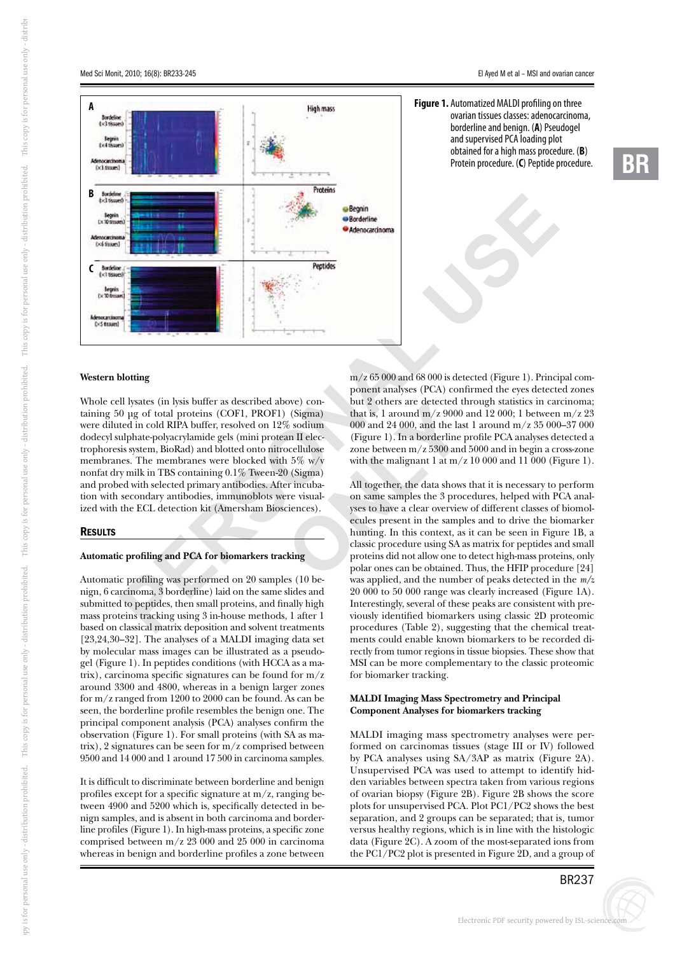**-**R



**High mass** 

Proteins

Peptides

**Begnin Borderline** Adenocarcinoma SSK

# **Western blotting**

A<br>
A<br>
B<br>
C

B Bordels<br>(x3 tiss

 $5x10$ 

**bo** 

 $C$  Bordeline

 $(x50)$ 

 $\overline{A}$ 

sorgen

m/z 65 000 and 68 000 is<br>
m/z 65 000 and 68 000 is<br>
m/z 65 000 and 68 000 is<br>
to total proteins (COFI, PROFI) (Sigma)<br>
but 2 others are detected<br>
block RIPA buffer, resolved on 12% oscium<br>
mold and protein and the componen Whole cell lysates (in lysis buffer as described above) containing 50 μg of total proteins (COF1, PROF1) (Sigma) were diluted in cold RIPA buffer, resolved on 12% sodium dodecyl sulphate-polyacrylamide gels (mini protean II electrophoresis system, BioRad) and blotted onto nitrocellulose membranes. The membranes were blocked with 5% w/v nonfat dry milk in TBS containing 0.1% Tween-20 (Sigma) and probed with selected primary antibodies. After incubation with secondary antibodies, immunoblots were visualized with the ECL detection kit (Amersham Biosciences).

## **RESULTS**

#### **Automatic profiling and PCA for biomarkers tracking**

Automatic profiling was performed on 20 samples (10 be-<br>nign, 6 carcinoma, 3 borderline) laid on the same slides and<br>submitted to peptides, then small proteins, and finally high<br>mass proteins tracking using 3 in-house meth nign, 6 carcinoma, 3 borderline) laid on the same slides and submitted to peptides, then small proteins, and finally high mass proteins tracking using 3 in-house methods, 1 after 1 based on classical matrix deposition and solvent treatments [23,24,30–32]. The analyses of a MALDI imaging data set by molecular mass images can be illustrated as a pseudogel (Figure 1). In peptides conditions (with HCCA as a matrix), carcinoma specific signatures can be found for m/z around 3300 and 4800, whereas in a benign larger zones for m/z ranged from 1200 to 2000 can be found. As can be seen, the borderline profile resembles the benign one. The principal component analysis (PCA) analyses confirm the observation (Figure 1). For small proteins (with SA as matrix), 2 signatures can be seen for m/z comprised between 9500 and 14 000 and 1 around 17 500 in carcinoma samples.

It is difficult to discriminate between borderline and benign profiles except for a specific signature at m/z, ranging between 4900 and 5200 which is, specifically detected in benign samples, and is absent in both carcinoma and borderline profiles (Figure 1). In high-mass proteins, a specific zone comprised between m/z 23 000 and 25 000 in carcinoma whereas in benign and borderline profiles a zone between

 $m/z$  65 000 and 68 000 is detected (Figure 1). Principal component analyses (PCA) confirmed the eyes detected zones but 2 others are detected through statistics in carcinoma; that is, 1 around  $m/z$  9000 and 12 000; 1 between  $m/z$  23 000 and 24 000, and the last 1 around m/z 35 000–37 000 (Figure 1). In a borderline profile PCA analyses detected a zone between m/z 5300 and 5000 and in begin a cross-zone with the malignant 1 at  $m/z$  10 000 and 11 000 (Figure 1).

ove) concreted to the same of the same of the same of the same of the same of the same of the same of the same of the same of the same of the same of the same of the same of the same of the same of the same of the same of All together, the data shows that it is necessary to perform on same samples the 3 procedures, helped with PCA analyses to have a clear overview of different classes of biomolecules present in the samples and to drive the biomarker hunting. In this context, as it can be seen in Figure 1B, a classic procedure using SA as matrix for peptides and small proteins did not allow one to detect high-mass proteins, only polar ones can be obtained. Thus, the HFIP procedure [24] was applied, and the number of peaks detected in the *m/z*  20 000 to 50 000 range was clearly increased (Figure 1A). Interestingly, several of these peaks are consistent with previously identified biomarkers using classic 2D proteomic procedures (Table 2), suggesting that the chemical treatments could enable known biomarkers to be recorded directly from tumor regions in tissue biopsies. These show that MSI can be more complementary to the classic proteomic for biomarker tracking.

## **MALDI Imaging Mass Spectrometry and Principal Component Analyses for biomarkers tracking**

MALDI imaging mass spectrometry analyses were performed on carcinomas tissues (stage III or IV) followed by PCA analyses using SA/3AP as matrix (Figure 2A). Unsupervised PCA was used to attempt to identify hidden variables between spectra taken from various regions of ovarian biopsy (Figure 2B). Figure 2B shows the score plots for unsupervised PCA. Plot PC1/PC2 shows the best separation, and 2 groups can be separated; that is*,* tumor versus healthy regions, which is in line with the histologic data (Figure 2C). A zoom of the most-separated ions from the PC1/PC2 plot is presented in Figure 2D, and a group of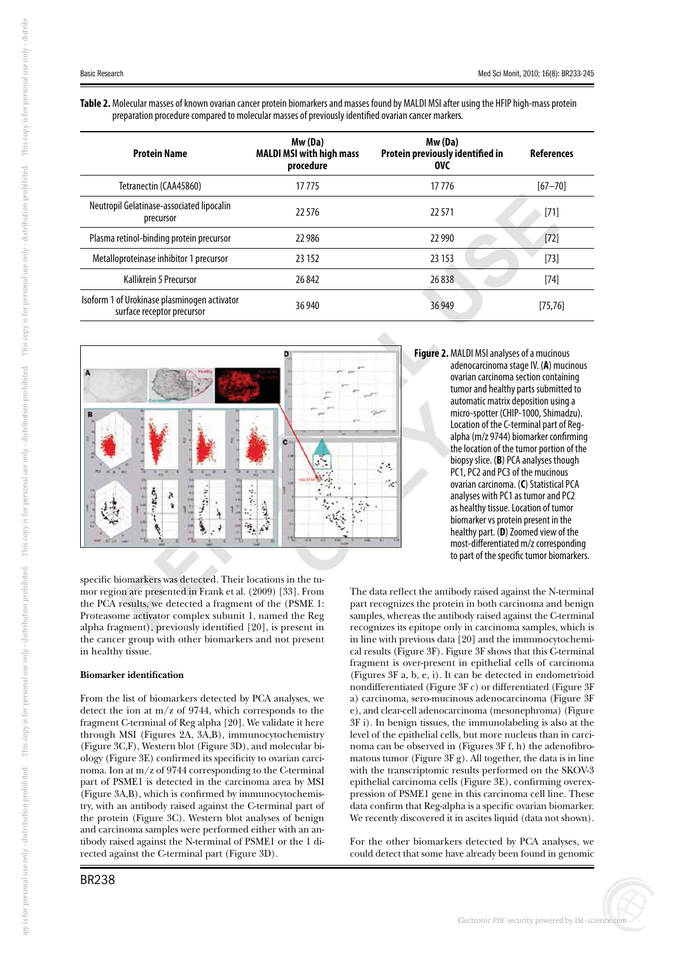**Table 2.** Molecular masses of known ovarian cancer protein biomarkers and masses found by MALDI MSI after using the HFIP high-mass protein preparation procedure compared to molecular masses of previously identified ovarian cancer markers.

| <b>Protein Name</b>                                                        | Mw (Da)<br><b>MALDI MSI with high mass</b><br>procedure | Mw (Da)<br>Protein previously identified in<br>OVC | <b>References</b> |
|----------------------------------------------------------------------------|---------------------------------------------------------|----------------------------------------------------|-------------------|
| Tetranectin (CAA45860)                                                     | 17 775                                                  | 17776                                              | $[67 - 70]$       |
| Neutropil Gelatinase-associated lipocalin<br>precursor                     | 22 576                                                  | 22571                                              | $[71]$            |
| Plasma retinol-binding protein precursor                                   | 22 986                                                  | 22 9 90                                            | $[72]$            |
| Metalloproteinase inhibitor 1 precursor                                    | 23 15 2                                                 | 23 15 3                                            | $[73]$            |
| Kallikrein 5 Precursor                                                     | 26 842                                                  | 26838                                              | $[74]$            |
| Isoform 1 of Urokinase plasminogen activator<br>surface receptor precursor | 36 940                                                  | 36949                                              | [75, 76]          |



**Figure 2.** MALDI MSI analyses of a mucinous adenocarcinoma stage IV. ( **A**) mucinous ovarian carcinoma section containing tumor and healthy parts submitted to automatic matrix deposition using a micro-spotter (CHIP-1000, Shimadzu). Location of the C-terminal part of Regalpha (m/z 9744) biomarker confirming the location of the tumor portion of the biopsy slice. ( **B**) PCA analyses though PC1, PC2 and PC3 of the mucinous ovarian carcinoma. ( **C**) Statistical PCA analyses with PC1 as tumor and PC2 as healthy tissue. Location of tumor biomarker vs protein present in the healthy part. ( **D**) Zoomed view of the most-differentiated m/z corresponding to part of the specific tumor biomarkers.

iomarkers was d<br>bn are presented<br>results, we dete<br>me activator co<br>gment), previo specific biomarkers was detected. Their locations in the tuthe PCA results, we detected a fragment of the (PSME 1: Proteasome activator complex subunit 1, named the Reg alpha fragment), previously identified [20], is present in the cancer group with other biomarkers and not present in healthy tissue.

# **Biomarker identification**

From the list of biomarkers detected by PCA analyses, we detect the ion at m/z of 9744, which corresponds to the fragment C-terminal of Reg alpha [20]. We validate it here through MSI (Figures 2A, 3A,B), immunocytochemistry (Figure 3C,F), Western blot (Figure 3D), and molecular biology (Figure 3E) confirmed its specificity to ovarian carcinoma. Ion at m/z of 9744 corresponding to the C-terminal part of PSME1 is detected in the carcinoma area by MSI (Figure 3A,B), which is confirmed by immunocytochemistry, with an antibody raised against the C-terminal part of the protein (Figure 3C). Western blot analyses of benign and carcinoma samples were performed either with an antibody raised against the N-terminal of PSME1 or the 1 directed against the C-terminal part (Figure 3D).

i Kdi

s for personal use only - di

stri buti

on prohibi

ted. Thi

s copy i

s for personal use only - di

stri buti

on prohibi

ted. Thi

s copy i

s for personal use only - di

stri buti

on prohibi

ted. Thi

s copy i

s for personal use only - di

stri buti

on prohibi

ted. Thi

s copy i

s for personal use only - di

stribi

The data reflect the antibody raised against the N-terminal part recognizes the protein in both carcinoma and benign samples, whereas the antibody raised against the C-terminal recognizes its epitope only in carcinoma samples, which is in line with previous data [20] and the immunocytochemical results (Figure 3F). Figure 3F shows that this C-terminal fragment is over-present in epithelial cells of carcinoma (Figures 3F a, b, e, i). It can be detected in endometrioid nondifferentiated (Figure 3F c) or differentiated (Figure 3F a) carcinoma, sero-mucinous adenocarcinoma (Figure 3F e), and clear-cell adenocarcinoma (mesonephroma) (Figure 3F i). In benign tissues, the immunolabeling is also at the level of the epithelial cells, but more nucleus than in carcinoma can be observed in (Figures 3F f, h) the adenofibromatous tumor (Figure 3F g). All together, the data is in line with the transcriptomic results performed on the SKOV-3 epithelial carcinoma cells (Figure 3E), confirming overexpression of PSME1 gene in this carcinoma cell line. These data confirm that Reg-alpha is a specific ovarian biomarker. We recently discovered it in ascites liquid (data not shown).

For the other biomarkers detected by PCA analyses, we could detect that some have already been found in genomic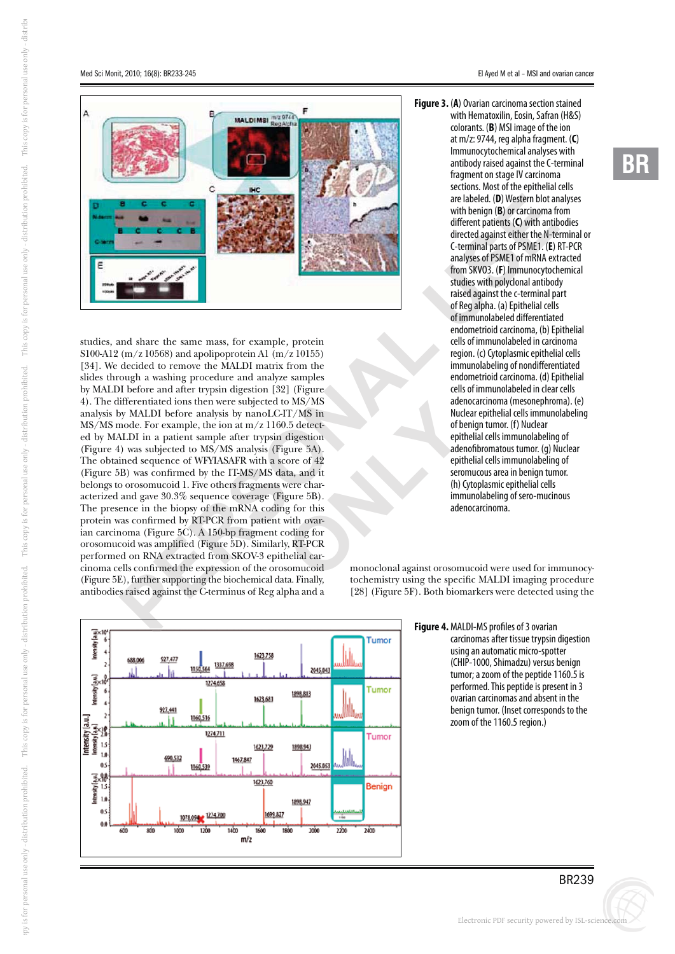

Figure 5E), further supporting the biochemical data. Finally, antibodies raised against the C-terminus of Reg alpha and a e the same mass, for example, protein<br>  $^{668}$ ) and apolipoprotein A1 (m/z 10155)<br>
to remove the MALDI matrix from the<br>
washing procedure and analyze samples<br>
and after trypsin digestion [32] (Figure<br>
are and in the interv Fr/MS in<br>
Tr/MS in<br>
Tr/MS in<br>
D.5 detect-<br>
digestion<br>
epit<br>
densities and it<br>
were char-<br>
gure 5B).<br>
g for this<br>
with ovar-<br>
oding for<br>
y, RT-PCR<br>
y, RT-PCR<br>
beliaid car-<br>
to some conding for<br>
to select the problem and aga studies, and share the same mass, for example *,* protein S100-A12 (m/z 10568) and apolipoprotein A1 (m/z 10155) [34]. We decided to remove the MALDI matrix from the slides through a washing procedure and analyze samples by MALDI before and after trypsin digestion [32] (Figure 4). The differentiated ions then were subjected to MS/MS analysis by MALDI before analysis by nanoLC-IT/MS in MS/MS mode. For example, the ion at m/z 1160.5 detected by MALDI in a patient sample after trypsin digestion (Figure 4) was subjected to MS/MS analysis (Figure 5A). The obtained sequence of WFYIASAFR with a score of 42 (Figure 5B) was confirmed by the IT-MS/MS data, and it belongs to orosomucoid 1. Five others fragments were characterized and gave 30.3% sequence coverage (Figure 5B). The presence in the biopsy of the mRNA coding for this protein was confirmed by RT-PCR from patient with ovarian carcinoma (Figure 5C). A 150-bp fragment coding for orosomucoid was amplified (Figure 5D). Similarly, RT-PCR performed on RNA extracted from SKOV-3 epithelial carcinoma cells confirmed the expression of the orosomucoid antibodies raised against the C-terminus of Reg alpha and a

**-**R

are labeled. (D) Western blot an<br>with benign (B) or carcinoma fr<br>different patients (C) with antib<br>directed against either the N-te<br>C-terminal parts of PSME1. (E) F<br>analyses of PSME1 of mRNA ext<br>from SKV03. (F) Immunocytoc **Figure 3.** ( **A**) Ovarian carcinoma section stained with Hematoxilin, Eosin, Safran (H&S) colorants. ( **B**) MSI image of the ion at m/z: 9744, reg alpha fragment. ( **C**) Immunocytochemical analyses with antibody raised against the C-terminal fragment on stage IV carcinoma sections. Most of the epithelial cells are labeled. ( **D**) Western blot analyses with benign ( **B**) or carcinoma from different patients ( **C**) with antibodies directed against either the N-terminal or C-terminal parts of PSME1. ( **E**) RT-PCR analyses of PSME1 of mRNA extracted from SKVO3. ( **F**) Immunocytochemical studies with polyclonal antibody raised against the c-terminal part of Reg alpha. (a) Epithelial cells of immunolabeled differentiated endometrioid carcinoma, (b) Epithelial cells of immunolabeled in carcinoma region. (c) Cytoplasmic epithelial cells immunolabeling of nondifferentiated endometrioid carcinoma. (d) Epithelial cells of immunolabeled in clear cells adenocarcinoma (mesonephroma). (e) Nuclear epithelial cells immunolabeling of benign tumor. (f) Nuclear epithelial cells immunolabeling of adenofibromatous tumor. (g) Nuclear epithelial cells immunolabeling of seromucous area in benign tumor. (h) Cytoplasmic epithelial cells immunolabeling of sero-mucinous adenocarcinoma.

monoclonal against orosomucoid were used for immunocytochemistry using the specific MALDI imaging procedure [28] (Figure 5F). Both biomarkers were detected using the

**Figure 4.** MALDI-MS profiles of 3 ovarian carcinomas after tissue trypsin digestion using an automatic micro-spotter (CHIP-1000, Shimadzu) versus benign tumor; a zoom of the peptide 1160.5 is performed. This peptide is present in 3 ovarian carcinomas and absent in the benign tumor. (Inset corresponds to the zoom of the 1160.5 region.)



# BR239

i Kdi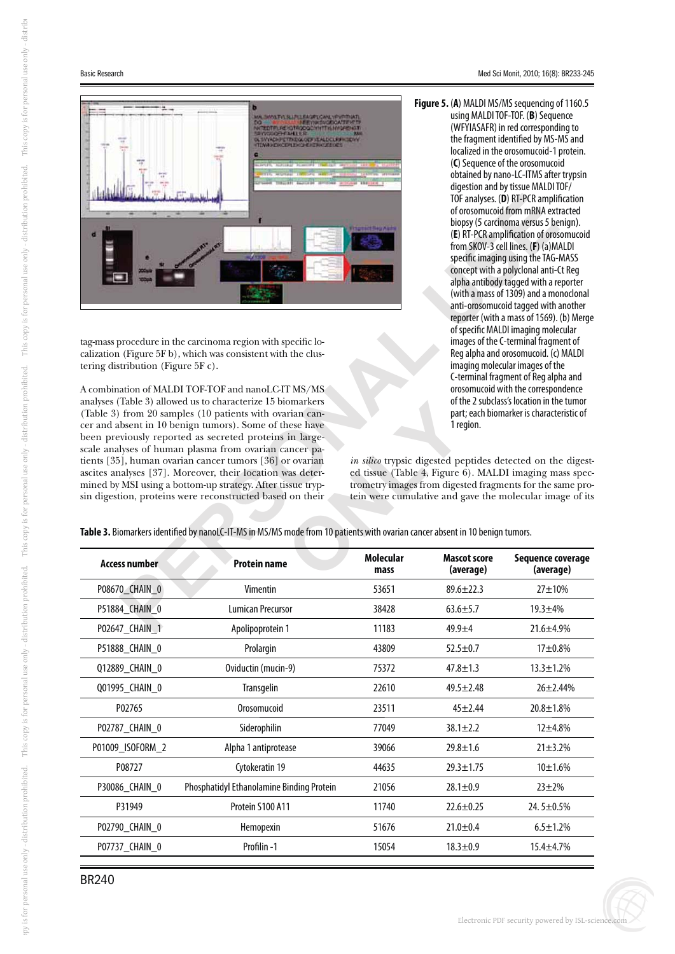

tag-mass procedure in the carcinoma region with specific localization (Figure 5F b), which was consistent with the clustering distribution (Figure 5F c).

e in the carcinoma region with specific lo-<br>
or<br>
for SF b), which was consistent with the clus-<br>
In<br>
IT (Figure 5F c).<br>
MALDI TOF-TOF and nanoLC-IT MS/MS<br>
allowed us to characterize 15 biomarkers<br>
of amples (10 patients wi A combination of MALDI TOF-TOF and nanoLC-IT MS/MS analyses (Table 3) allowed us to characterize 15 biomarkers (Table 3) from 20 samples (10 patients with ovarian cancer and absent in 10 benign tumors). Some of these have been previously reported as secreted proteins in largescale analyses of human plasma from ovarian cancer patients [35], human ovarian cancer tumors [36] or ovarian ascites analyses [37]. Moreover, their location was determined by MSI using a bottom-up strategy. After tissue trypsin digestion, proteins were reconstructed based on their

TOF analyses. (D) RT-PCR amplif<br>of orosomucoid from mRNA ext<br>biopsy (5 carcinoma versus 5 be<br>(E) RT-PCR amplification of oros<br>from SKOV-3 cell lines. (F) (a)M,<br>specific imaging using the TAG-<br>concept with a polyclonal anti **Figure 5.** ( **A**) MALDI MS/MS sequencing of 1160.5 using MALDI TOF-TOF. ( **B**) Sequence (WFYIASAFR) in red corresponding to the fragment identified by MS-MS and localized in the orosomucoid-1 protein. (**C**) Sequence of the orosomucoid obtained by nano-LC-ITMS after trypsin digestion and by tissue MALDI TOF/ TOF analyses. ( **D**) RT-PCR amplification of orosomucoid from mRNA extracted biopsy (5 carcinoma versus 5 benign). (**E**) RT-PCR amplification of orosomucoid from SKOV-3 cell lines. ( **F**) (a)MALDI specific imaging using the TAG-MASS concept with a polyclonal anti-Ct Reg alpha antibody tagged with a reporter (with a mass of 1309) and a monoclonal anti-orosomucoid tagged with another reporter (with a mass of 1569). (b) Merge of specific MALDI imaging molecular images of the C-terminal fragment of Reg alpha and orosomucoid. (c) MALDI imaging molecular images of the C-terminal fragment of Reg alpha and orosomucoid with the correspondence of the 2 subclass's location in the tumor part; each biomarker is characteristic of 1 region.

| <b>Molecular</b><br><b>Mascot score</b><br>Sequence coverage<br><b>Access number</b><br><b>Protein name</b><br>(average)<br>(average)<br>mass<br>P08670_CHAIN_0<br>Vimentin<br>$89.6 \pm 22.3$<br>$27 + 10%$<br>53651<br>P51884 CHAIN 0<br><b>Lumican Precursor</b><br>38428<br>$63.6 \pm 5.7$<br>$19.3 + 4%$<br>P02647 CHAIN 1<br>Apolipoprotein 1<br>11183<br>$49.9 + 4$<br>$21.6 \pm 4.9\%$<br>P51888 CHAIN 0<br>Prolargin<br>43809<br>$52.5 \pm 0.7$<br>$17 + 0.8\%$<br>Oviductin (mucin-9)<br>Q12889_CHAIN_0<br>75372<br>$47.8 \pm 1.3$<br>$13.3 \pm 1.2%$<br>Transgelin<br>22610<br>Q01995 CHAIN 0<br>$49.5 \pm 2.48$<br>$26 \pm 2.44\%$<br>Orosomucoid<br>P02765<br>23511<br>$20.8 + 1.8%$<br>$45 + 2.44$<br>P02787_CHAIN_0<br>Siderophilin<br>77049<br>$38.1 \pm 2.2$<br>$12 + 4.8%$<br>P01009_ISOFORM_2<br>Alpha 1 antiprotease<br>39066<br>$29.8 \pm 1.6$<br>$21 \pm 3.2%$<br>P08727<br>Cytokeratin 19<br>44635<br>$29.3 \pm 1.75$<br>$10 + 1.6%$<br>Phosphatidyl Ethanolamine Binding Protein<br>P30086_CHAIN_0<br>21056<br>$28.1 \pm 0.9$<br>$23 + 2%$<br>Protein S100 A11<br>11740<br>P31949<br>$22.6 \pm 0.25$<br>24.5±0.5%<br>51676<br>P02790_CHAIN_0<br>Hemopexin<br>$21.0 \pm 0.4$<br>$6.5 \pm 1.2\%$<br>Profilin-1<br>P07737_CHAIN_0<br>15054<br>$18.3 \pm 0.9$<br>$15.4 + 4.7%$ | analyses (Table 3) allowed us to characterize T5 biomarkers<br>(Table 3) from 20 samples (10 patients with ovarian can-<br>cer and absent in 10 benign tumors). Some of these have<br>been previously reported as secreted proteins in large-<br>scale analyses of human plasma from ovarian cancer pa-<br>tients [35], human ovarian cancer tumors [36] or ovarian<br>ascites analyses [37]. Moreover, their location was deter-<br>mined by MSI using a bottom-up strategy. After tissue tryp-<br>sin digestion, proteins were reconstructed based on their<br>Table 3. Biomarkers identified by nanoLC-IT-MS in MS/MS mode from 10 patients with ovarian cancer absent in 10 benign tumors. | 1 region. | OF the 2 subclass's location in the tumor<br>part; each biomarker is characteristic of<br>in silico trypsic digested peptides detected on the digest-<br>ed tissue (Table 4, Figure 6). MALDI imaging mass spec-<br>trometry images from digested fragments for the same pro-<br>tein were cumulative and gave the molecular image of its |
|----------------------------------------------------------------------------------------------------------------------------------------------------------------------------------------------------------------------------------------------------------------------------------------------------------------------------------------------------------------------------------------------------------------------------------------------------------------------------------------------------------------------------------------------------------------------------------------------------------------------------------------------------------------------------------------------------------------------------------------------------------------------------------------------------------------------------------------------------------------------------------------------------------------------------------------------------------------------------------------------------------------------------------------------------------------------------------------------------------------------------------------------------------------------------------------------------------------------------------------------------------------------------------------------------|------------------------------------------------------------------------------------------------------------------------------------------------------------------------------------------------------------------------------------------------------------------------------------------------------------------------------------------------------------------------------------------------------------------------------------------------------------------------------------------------------------------------------------------------------------------------------------------------------------------------------------------------------------------------------------------------|-----------|-------------------------------------------------------------------------------------------------------------------------------------------------------------------------------------------------------------------------------------------------------------------------------------------------------------------------------------------|
|                                                                                                                                                                                                                                                                                                                                                                                                                                                                                                                                                                                                                                                                                                                                                                                                                                                                                                                                                                                                                                                                                                                                                                                                                                                                                                    |                                                                                                                                                                                                                                                                                                                                                                                                                                                                                                                                                                                                                                                                                                |           |                                                                                                                                                                                                                                                                                                                                           |
|                                                                                                                                                                                                                                                                                                                                                                                                                                                                                                                                                                                                                                                                                                                                                                                                                                                                                                                                                                                                                                                                                                                                                                                                                                                                                                    |                                                                                                                                                                                                                                                                                                                                                                                                                                                                                                                                                                                                                                                                                                |           |                                                                                                                                                                                                                                                                                                                                           |
|                                                                                                                                                                                                                                                                                                                                                                                                                                                                                                                                                                                                                                                                                                                                                                                                                                                                                                                                                                                                                                                                                                                                                                                                                                                                                                    |                                                                                                                                                                                                                                                                                                                                                                                                                                                                                                                                                                                                                                                                                                |           |                                                                                                                                                                                                                                                                                                                                           |
|                                                                                                                                                                                                                                                                                                                                                                                                                                                                                                                                                                                                                                                                                                                                                                                                                                                                                                                                                                                                                                                                                                                                                                                                                                                                                                    |                                                                                                                                                                                                                                                                                                                                                                                                                                                                                                                                                                                                                                                                                                |           |                                                                                                                                                                                                                                                                                                                                           |
|                                                                                                                                                                                                                                                                                                                                                                                                                                                                                                                                                                                                                                                                                                                                                                                                                                                                                                                                                                                                                                                                                                                                                                                                                                                                                                    |                                                                                                                                                                                                                                                                                                                                                                                                                                                                                                                                                                                                                                                                                                |           |                                                                                                                                                                                                                                                                                                                                           |
|                                                                                                                                                                                                                                                                                                                                                                                                                                                                                                                                                                                                                                                                                                                                                                                                                                                                                                                                                                                                                                                                                                                                                                                                                                                                                                    |                                                                                                                                                                                                                                                                                                                                                                                                                                                                                                                                                                                                                                                                                                |           |                                                                                                                                                                                                                                                                                                                                           |
|                                                                                                                                                                                                                                                                                                                                                                                                                                                                                                                                                                                                                                                                                                                                                                                                                                                                                                                                                                                                                                                                                                                                                                                                                                                                                                    |                                                                                                                                                                                                                                                                                                                                                                                                                                                                                                                                                                                                                                                                                                |           |                                                                                                                                                                                                                                                                                                                                           |
|                                                                                                                                                                                                                                                                                                                                                                                                                                                                                                                                                                                                                                                                                                                                                                                                                                                                                                                                                                                                                                                                                                                                                                                                                                                                                                    |                                                                                                                                                                                                                                                                                                                                                                                                                                                                                                                                                                                                                                                                                                |           |                                                                                                                                                                                                                                                                                                                                           |
|                                                                                                                                                                                                                                                                                                                                                                                                                                                                                                                                                                                                                                                                                                                                                                                                                                                                                                                                                                                                                                                                                                                                                                                                                                                                                                    |                                                                                                                                                                                                                                                                                                                                                                                                                                                                                                                                                                                                                                                                                                |           |                                                                                                                                                                                                                                                                                                                                           |
|                                                                                                                                                                                                                                                                                                                                                                                                                                                                                                                                                                                                                                                                                                                                                                                                                                                                                                                                                                                                                                                                                                                                                                                                                                                                                                    |                                                                                                                                                                                                                                                                                                                                                                                                                                                                                                                                                                                                                                                                                                |           |                                                                                                                                                                                                                                                                                                                                           |
|                                                                                                                                                                                                                                                                                                                                                                                                                                                                                                                                                                                                                                                                                                                                                                                                                                                                                                                                                                                                                                                                                                                                                                                                                                                                                                    |                                                                                                                                                                                                                                                                                                                                                                                                                                                                                                                                                                                                                                                                                                |           |                                                                                                                                                                                                                                                                                                                                           |
|                                                                                                                                                                                                                                                                                                                                                                                                                                                                                                                                                                                                                                                                                                                                                                                                                                                                                                                                                                                                                                                                                                                                                                                                                                                                                                    |                                                                                                                                                                                                                                                                                                                                                                                                                                                                                                                                                                                                                                                                                                |           |                                                                                                                                                                                                                                                                                                                                           |
|                                                                                                                                                                                                                                                                                                                                                                                                                                                                                                                                                                                                                                                                                                                                                                                                                                                                                                                                                                                                                                                                                                                                                                                                                                                                                                    |                                                                                                                                                                                                                                                                                                                                                                                                                                                                                                                                                                                                                                                                                                |           |                                                                                                                                                                                                                                                                                                                                           |
|                                                                                                                                                                                                                                                                                                                                                                                                                                                                                                                                                                                                                                                                                                                                                                                                                                                                                                                                                                                                                                                                                                                                                                                                                                                                                                    |                                                                                                                                                                                                                                                                                                                                                                                                                                                                                                                                                                                                                                                                                                |           |                                                                                                                                                                                                                                                                                                                                           |
|                                                                                                                                                                                                                                                                                                                                                                                                                                                                                                                                                                                                                                                                                                                                                                                                                                                                                                                                                                                                                                                                                                                                                                                                                                                                                                    |                                                                                                                                                                                                                                                                                                                                                                                                                                                                                                                                                                                                                                                                                                |           |                                                                                                                                                                                                                                                                                                                                           |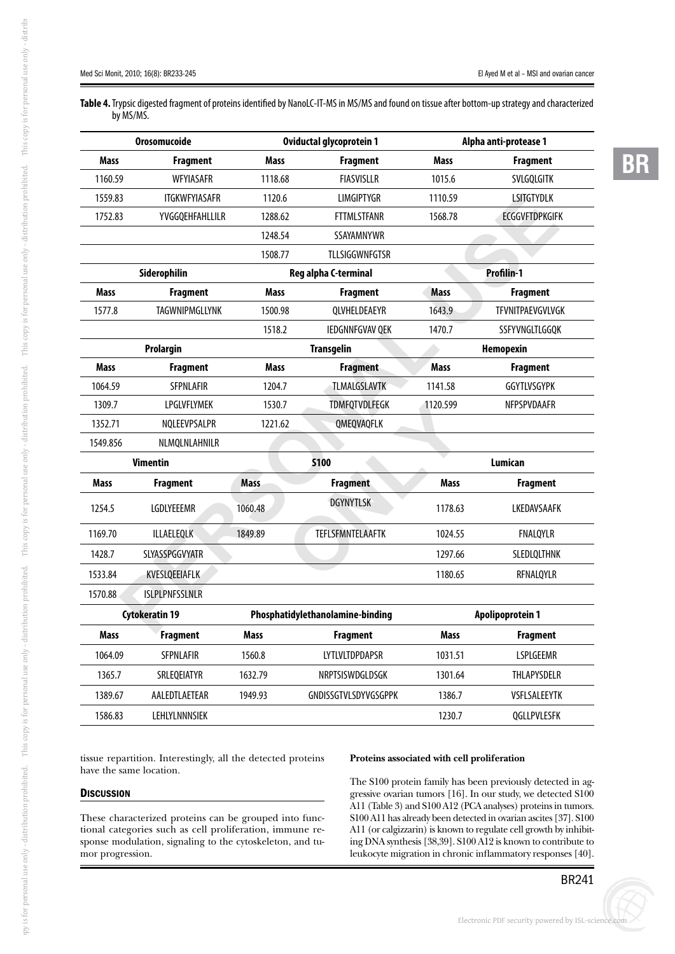**-**R

**Table 4.** Trypsic digested fragment of proteins identified by NanoLC-IT-MS in MS/MS and found on tissue after bottom-up strategy and characterized by MS/MS.

| Orosomucoide |                        |             | Oviductal glycoprotein 1         |             | Alpha anti-protease 1   |
|--------------|------------------------|-------------|----------------------------------|-------------|-------------------------|
| Mass         | <b>Fragment</b>        | Mass        | <b>Fragment</b>                  | Mass        | <b>Fragment</b>         |
| 1160.59      | WFYIASAFR              | 1118.68     | <b>FIASVISLLR</b>                | 1015.6      | SVLGQLGITK              |
| 1559.83      | <b>ITGKWFYIASAFR</b>   | 1120.6      | <b>LIMGIPTYGR</b>                | 1110.59     | <b>LSITGTYDLK</b>       |
| 1752.83      | <b>YVGGQEHFAHLLILR</b> | 1288.62     | <b>FTTMLSTFANR</b>               | 1568.78     | <b>ECGGVFTDPKGIFK</b>   |
|              |                        | 1248.54     | <b>SSAYAMNYWR</b>                |             |                         |
|              |                        | 1508.77     | TLLSIGGWNFGTSR                   |             |                         |
|              | Siderophilin           |             | Reg alpha C-terminal             |             | Profilin-1              |
| <b>Mass</b>  | <b>Fragment</b>        | Mass        | <b>Fragment</b>                  | <b>Mass</b> | <b>Fragment</b>         |
| 1577.8       | TAGWNIPMGLLYNK         | 1500.98     | QLVHELDEAEYR                     | 1643.9      | <b>TFVNITPAEVGVLVGK</b> |
|              |                        | 1518.2      | IEDGNNFGVAV QEK                  | 1470.7      | SSFYVNGLTLGGQK          |
|              | Prolargin              |             | <b>Transgelin</b>                |             | Hemopexin               |
| <b>Mass</b>  | <b>Fragment</b>        | <b>Mass</b> | <b>Fragment</b>                  | <b>Mass</b> | <b>Fragment</b>         |
| 1064.59      | SFPNLAFIR              | 1204.7      | TLMALGSLAVTK                     | 1141.58     | GGYTLVSGYPK             |
| 1309.7       | LPGLVFLYMEK            | 1530.7      | <b>TDMFQTVDLFEGK</b>             | 1120.599    | NFPSPVDAAFR             |
| 1352.71      | NQLEEVPSALPR           | 1221.62     | QMEQVAQFLK                       |             |                         |
| 1549.856     | NLMOLNLAHNILR          |             |                                  |             |                         |
|              | <b>Vimentin</b>        |             | <b>S100</b>                      |             | <b>Lumican</b>          |
| <b>Mass</b>  | <b>Fragment</b>        | <b>Mass</b> | <b>Fragment</b>                  | Mass        | <b>Fragment</b>         |
| 1254.5       | LGDLYEEEMR             | 1060.48     | <b>DGYNYTLSK</b>                 | 1178.63     | LKEDAVSAAFK             |
| 1169.70      | ILLAELEQLK             | 1849.89     | TEFLSFMNTELAAFTK                 | 1024.55     | FNALQYLR                |
| 1428.7       | SLYASSPGGVYATR         |             |                                  | 1297.66     | SLEDLQLTHNK             |
| 1533.84      | KVESLQEEIAFLK          |             |                                  | 1180.65     | RFNALQYLR               |
| 1570.88      | <b>ISLPLPNFSSLNLR</b>  |             |                                  |             |                         |
|              | <b>Cytokeratin 19</b>  |             | Phosphatidylethanolamine-binding |             | Apolipoprotein 1        |
| <b>Mass</b>  | <b>Fragment</b>        | <b>Mass</b> | <b>Fragment</b>                  | <b>Mass</b> | <b>Fragment</b>         |
| 1064.09      | SFPNLAFIR              | 1560.8      | LYTLVLTDPDAPSR                   | 1031.51     | LSPLGEEMR               |
| 1365.7       | SRLEQEIATYR            | 1632.79     | NRPTSISWDGLDSGK                  | 1301.64     | THLAPYSDELR             |
| 1389.67      | AALEDTLAETEAR          | 1949.93     | GNDISSGTVLSDYVGSGPPK             | 1386.7      | VSFLSALEEYTK            |
| 1586.83      | LEHLYLNNNSIEK          |             |                                  | 1230.7      | QGLLPVLESFK             |

tissue repartition. Interestingly, all the detected proteins have the same location.

## **DISCUSSION**

These characterized proteins can be grouped into functional categories such as cell proliferation, immune response modulation, signaling to the cytoskeleton, and tumor progression.

## **Proteins associated with cell proliferation**

The S100 protein family has been previously detected in aggressive ovarian tumors [16]. In our study, we detected S100 A11 (Table 3) and S100 A12 (PCA analyses) proteins in tumors. S100 A11 has already been detected in ovarian ascites [37]. S100 A11 (or calgizzarin) is known to regulate cell growth by inhibiting DNA synthesis [38,39]. S100 A12 is known to contribute to leukocyte migration in chronic inflammatory responses [40].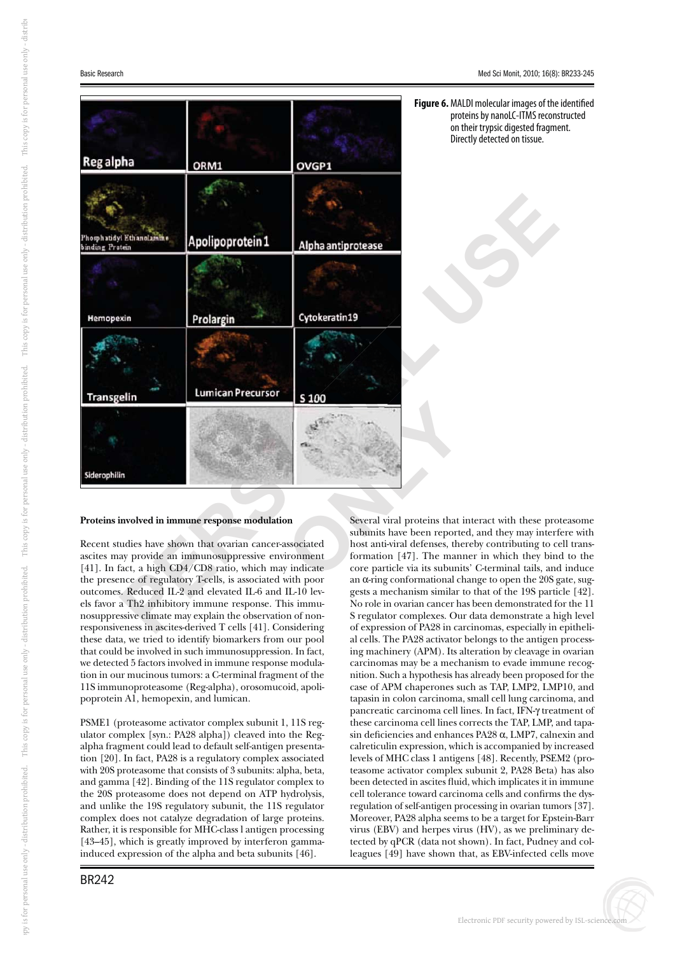



## **Proteins involved in immune response modulation**

<sup>[41</sup>]. In fact, a mgn CD4/CD6 fatio, which may indicate<br>the presence of regulatory T-cells, is associated with poor<br>outcomes. Reduced IL-2 and elevated IL-6 and IL-10 lev-<br>els favor a Th2 inhibitory immune response. This Recent studies have shown that ovarian cancer-associated ascites may provide an immunosuppressive environment [41]. In fact, a high CD4/CD8 ratio, which may indicate outcomes. Reduced IL-2 and elevated IL-6 and IL-10 levels favor a Th2 inhibitory immune response. This immunosuppressive climate may explain the observation of nonresponsiveness in ascites-derived T cells [41]. Considering these data, we tried to identify biomarkers from our pool that could be involved in such immunosuppression. In fact, we detected 5 factors involved in immune response modulation in our mucinous tumors: a C-terminal fragment of the 11S immunoproteasome (Reg-alpha), orosomucoid, apolipoprotein A1, hemopexin, and lumican.

PSME1 (proteasome activator complex subunit 1, 11S regulator complex [syn.: PA28 alpha]) cleaved into the Regalpha fragment could lead to default self-antigen presentation [20]. In fact, PA28 is a regulatory complex associated with 20S proteasome that consists of 3 subunits: alpha, beta, and gamma [42]. Binding of the 11S regulator complex to the 20S proteasome does not depend on ATP hydrolysis, and unlike the 19S regulatory subunit, the 11S regulator complex does not catalyze degradation of large proteins. Rather, it is responsible for MHC-class l antigen processing [43–45], which is greatly improved by interferon gammainduced expression of the alpha and beta subunits [46].

Several viral proteins that interact with these proteasome subunits have been reported, and they may interfere with host anti-viral defenses, thereby contributing to cell transformation [47]. The manner in which they bind to the core particle via its subunits' C-terminal tails, and induce an  $\alpha$ -ring conformational change to open the 20S gate, sug-<br>gests a mechanism similar to that of the 19S particle [49] gests a mechanism similar to that of the 19S particle [42]. No role in ovarian cancer has been demonstrated for the 11 S regulator complexes. Our data demonstrate a high level of expression of PA28 in carcinomas, especially in epithelial cells. The PA28 activator belongs to the antigen processing machinery (APM). Its alteration by cleavage in ovarian carcinomas may be a mechanism to evade immune recognition. Such a hypothesis has already been proposed for the case of APM chaperones such as TAP, LMP2, LMP10, and tapasin in colon carcinoma, small cell lung carcinoma, and pancreatic carcinoma cell lines. In fact, IFN- $\gamma$  treatment of<br>these carcinoma cell lines corrects the TAP J MP and tapathese carcinoma cell lines corrects the TAP, LMP, and tapasin deficiencies and enhances  $PA28 \alpha$ , LMP7, calnexin and calreticulin expression, which is accompanied by increased levels of MHC class 1 antigens [48]. Recently, PSEM2 (proteasome activator complex subunit 2, PA28 Beta) has also been detected in ascites fluid, which implicates it in immune cell tolerance toward carcinoma cells and confirms the dysregulation of self-antigen processing in ovarian tumors [37]. Moreover, PA28 alpha seems to be a target for Epstein-Barr virus (EBV) and herpes virus (HV), as we preliminary detected by qPCR (data not shown). In fact, Pudney and colleagues [49] have shown that, as EBV-infected cells move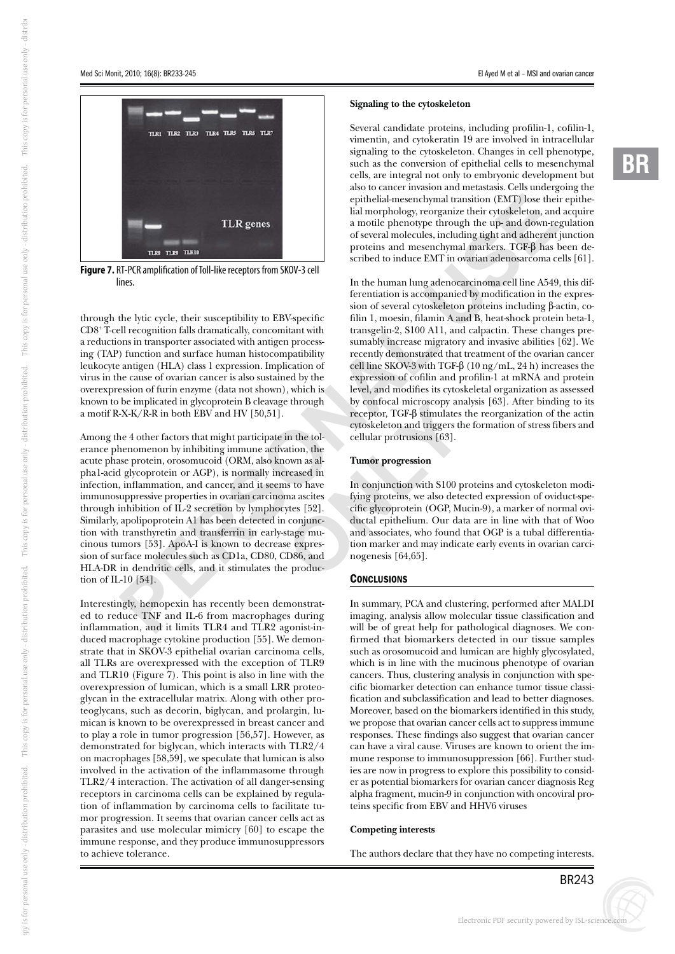

**Figure 7.** RT-PCR amplification of Toll-like receptors from SKOV-3 cell lines.

through the lytic cycle, their susceptibility to EBV-specific CD8 + T-cell recognition falls dramatically, concomitant with a reductions in transporter associated with antigen processing (TAP) function and surface human histocompatibility leukocyte antigen (HLA) class 1 expression. Implication of virus in the cause of ovarian cancer is also sustained by the overexpression of furin enzyme (data not shown), which is known to be implicated in glycoprotein B cleavage through a motif R-X-K/R-R in both EBV and HV [50,51].

cycle, their susceptibility to EBV-specific<br>
if in 1, moesin, filamin A<br>
into falls dramatically, concominant with transgelin-2, 5100 A11, at<br>
inanyorter associated with antigen process-<br>
imaging process-<br>
imaging recentl Among the 4 other factors that might participate in the tolerance phenomenon by inhibiting immune activation, the acute phase protein, orosomucoid (ORM, also known as alpha1-acid glycoprotein or AGP), is normally increased in infection, inflammation, and cancer, and it seems to have immunosuppressive properties in ovarian carcinoma ascites through inhibition of IL-2 secretion by lymphocytes [52]. Similarly, apolipoprotein A1 has been detected in conjunction with transthyretin and transferrin in early-stage mucinous tumors [53]. ApoA-I is known to decrease expression of surface molecules such as CD1a, CD80, CD86, and HLA-DR in dendritic cells, and it stimulates the production of IL-10 [54].

**-**Interestingly, hemopexin has recently been demonstrated to reduce TNF and IL-6 from macrophages during inflammation, and it limits TLR4 and TLR2 agonist-induced macrophage cytokine production [55]. We demonstrate that in SKOV-3 epithelial ovarian carcinoma cells, all TLRs are overexpressed with the exception of TLR9 and TLR10 (Figure  $7$ ). This point is also in line with the overexpression of lumican, which is a small LRR proteoglycan in the extracellular matrix. Along with other proteoglycans, such as decorin, biglycan, and prolargin, lumican is known to be overexpressed in breast cancer and to play a role in tumor progression [56,57]. However, as demonstrated for biglycan, which interacts with TLR2/4 on macrophages [58,59], we speculate that lumican is also involved in the activation of the inflammasome through TLR2/4 interaction. The activation of all danger-sensing receptors in carcinoma cells can be explained by regulation of inflammation by carcinoma cells to facilitate tumor progression. It seems that ovarian cancer cells act as parasites and use molecular mimicry [60] to escape the immune response, and they produce immunosuppressors to achieve tolerance.

#### **Signaling to the cytoskeleton**

hymal transition (EMT) lose their<br>eorganize their cytoskeleton, and<br>pe through the up- and down-re<br>les, including tight and adherent<br>senchymal markers. TGF- $\beta$  has l<br>EMT in ovarian adenosarcoma ce<br>g adenocarcinoma cell l Several candidate proteins, including profilin-1, cofilin-1, vimentin, and cytokeratin 19 are involved in intracellular signaling to the cytoskeleton. Changes in cell phenotype, such as the conversion of epithelial cells to mesenchymal cells, are integral not only to embryonic development but also to cancer invasion and metastasis. Cells undergoing the epithelial-mesenchymal transition (EMT) lose their epithelial morphology, reorganize their cytoskeleton, and acquire a motile phenotype through the up- and down-regulation of several molecules, including tight and adherent junction proteins and mesenchymal markers.  $TGF-\beta$  has been de-<br>scribed to induce  $FMT$  in overland adenosarcoma cells [61] scribed to induce EMT in ovarian adenosarcoma cells [61].

In the human lung adenocarcinoma cell line A549, this differentiation is accompanied by modification in the expression of several cytoskeleton proteins including  $\beta$ -actin, cofilin 1, moesin, filamin A and B, heat-shock protein beta-1, transgelin-2, S100 A11, and calpactin. These changes presumably increase migratory and invasive abilities [62]. We recently demonstrated that treatment of the ovarian cancer cell line SKOV-3 with TGF- $\beta$  (10 ng/mL, 24 h) increases the<br>expression of cofilin and profilin-1 at mPNA and protein expression of cofilin and profilin-1 at mRNA and protein level, and modifies its cytoskeletal organization as assessed by confocal microscopy analysis [63]. After binding to its receptor,  $TGF-\beta$  stimulates the reorganization of the actin<br>cytoskeleton and triggers the formation of stress fibers and cytoskeleton and triggers the formation of stress fibers and cellular protrusions [63].

#### **Tumor progression**

through<br>
by contocal microscopy ans<br>
receptor, TGF-β stimulates<br>
cytoskeleton and triggers th<br>
cellular protrusions [63].<br>
ation, the<br>
own as al-<br>
Tumor progression<br>
reased in<br>
s to have<br>
In conjunction with S100 p<br>
ma as In conjunction with S100 proteins and cytoskeleton modifying proteins, we also detected expression of oviduct-specific glycoprotein (OGP, Mucin-9), a marker of normal oviductal epithelium. Our data are in line with that of Woo and associates, who found that OGP is a tubal differentiation marker and may indicate early events in ovarian carcinogenesis [64,65].

## **CONCLUSIONS**

In summary, PCA and clustering, performed after MALDI imaging, analysis allow molecular tissue classification and will be of great help for pathological diagnoses. We confirmed that biomarkers detected in our tissue samples such as orosomucoid and lumican are highly glycosylated, which is in line with the mucinous phenotype of ovarian cancers. Thus, clustering analysis in conjunction with specific biomarker detection can enhance tumor tissue classification and subclassification and lead to better diagnoses. Moreover, based on the biomarkers identified in this study, we propose that ovarian cancer cells act to suppress immune responses. These findings also suggest that ovarian cancer can have a viral cause. Viruses are known to orient the immune response to immunosuppression [66]. Further studies are now in progress to explore this possibility to consider as potential biomarkers for ovarian cancer diagnosis Reg alpha fragment, mucin-9 in conjunction with oncoviral proteins specific from EBV and HHV6 viruses

### **Competing interests**

The authors declare that they have no competing interests.

i Kdi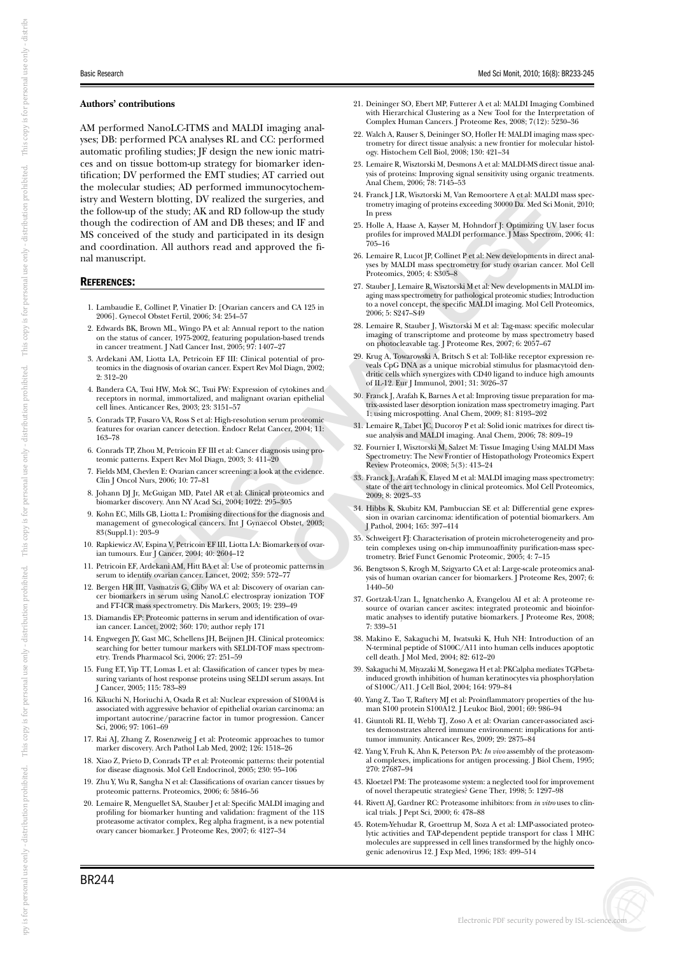buti

on prohibi

ted. Thi

s copy i

s for personal use only - di

stribi

#### **Authors' contributions**

AM performed NanoLC-ITMS and MALDI imaging analyses; DB: performed PCA analyses RL and CC: performed automatic profiling studies; JF design the new ionic matrices and on tissue bottom-up strategy for biomarker identification; DV performed the EMT studies; AT carried out the molecular studies; AD performed immunocytochemistry and Western blotting, DV realized the surgeries, and the follow-up of the study; AK and RD follow-up the study though the codirection of AM and DB theses; and IF and MS conceived of the study and participated in its design and coordination. All authors read and approved the final manuscript.

#### REFERENCES:

- 1. Lambaudie E, Collinet P, Vinatier D: [Ovarian cancers and CA 125 in 2006]. Gynecol Obstet Fertil, 2006; 34: 254–57
- 2. Edwards BK, Brown ML, Wingo PA et al: Annual report to the nation on the status of cancer, 1975-2002, featuring population-based trends in cancer treatment. J Natl Cancer Inst, 2005; 97: 1407–27
- bstet Feriil, 2006; 34: 254–57<br>
wan ML, Wingo PA et al. Annual report to the nation<br>
2006; 34: 254–57<br>
mancer, 1975-2002, featuring population-based tends<br>
1.1, Nation ER, Botto, 97: 1407–27<br>
total Cancer Inst. 2005; 97: 1 3. Ardekani AM, Liotta LA, Petricoin EF III: Clinical potential of proteomics in the diagnosis of ovarian cancer. Expert Rev Mol Diagn, 2002; 2: 312–20
- 4. Bandera CA, Tsui HW, Mok SC, Tsui FW: Expression of cytokines and receptors in normal, immortalized, and malignant ovarian epithelial cell lines. Anticancer Res, 2003; 23: 3151–57
- 5. Conrads TP, Fusaro VA, Ross S et al: High-resolution serum proteomic features for ovarian cancer detection. Endocr Relat Cancer, 2004; 11: 163–78
- 6. Conrads TP, Zhou M, Petricoin EF III et al: Cancer diagnosis using proteomic patterns. Expert Rev Mol Diagn, 2003; 3: 411–20
- 7. Fields MM, Chevlen E: Ovarian cancer screening: a look at the evidence. Clin J Oncol Nurs, 2006; 10: 77–81
- 8. Johann DJ Jr, McGuigan MD, Patel AR et al: Clinical proteomics and biomarker discovery. Ann NY Acad Sci, 2004; 1022: 295–305
- 9. Kohn EC, Mills GB, Liotta L: Promising directions for the diagnosis and management of gynecological cancers. Int J Gynaecol Obstet, 2003; 83(Suppl.1): 203–9
- 10. Rapkiewicz AV, Espina V, Petricoin EF III, Liotta LA: Biomarkers of ovarian tumours. Eur J Cancer, 2004; 40: 2604–12
- 11. Petricoin EF, Ardekani AM, Hitt BA et al: Use of proteomic patterns in serum to identify ovarian cancer. Lancet, 2002; 359: 572–77
- to identify ovarian c<br> **-** HR III, Vasmatzis (<br> **-** HR III, Vasmatzis (<br>
markers in serum u<br>
-ICR mass spectrom<br>
ndis EP: Proteomic p<br>
ncer. Lancet, 2002; 3 12. Bergen HR III, Vasmatzis G, Cliby WA et al: Discovery of ovarian cancer biomarkers in serum using NanoLC electrospray ionization TOF and FT-ICR mass spectrometry. Dis Markers, 2003; 19: 239–49
- 13. Diamandis EP: Proteomic patterns in serum and identification of ovarian cancer. Lancet, 2002; 360: 170; author reply 171
- 14. Engwegen JY, Gast MC, Schellens JH, Beijnen JH. Clinical proteomics: searching for better tumour markers with SELDI-TOF mass spectrometry. Trends Pharmacol Sci, 2006; 27: 251–59
- 15. Fung ET, Yip TT, Lomas L et al: Classification of cancer types by measuring variants of host response proteins using SELDI serum assays. Int J Cancer, 2005; 115: 783–89
- 16. Kikuchi N, Horiuchi A, Osada R et al: Nuclear expression of S100A4 is associated with aggressive behavior of epithelial ovarian carcinoma: an important autocrine/paracrine factor in tumor progression. Cancer Sci, 2006; 97: 1061–69
- 17. Rai AJ, Zhang Z, Rosenzweig J et al: Proteomic approaches to tumor marker discovery. Arch Pathol Lab Med, 2002; 126: 1518–26
- 18. Xiao Z, Prieto D, Conrads TP et al: Proteomic patterns: their potential for disease diagnosis. Mol Cell Endocrinol, 2005; 230: 95–106
- 19. Zhu Y, Wu R, Sangha N et al: Classifications of ovarian cancer tissues by proteomic patterns. Proteomics, 2006; 6: 5846–56
- 20. Lemaire R, Menguellet SA, Stauber J et al: Specific MALDI imaging and profiling for biomarker hunting and validation: fragment of the 11S proteasome activator complex, Reg alpha fragment, is a new potential ovary cancer biomarker. J Proteome Res, 2007; 6: 4127–34
- 21. Deininger SO, Ebert MP, Futterer A et al: MALDI Imaging Combined with Hierarchical Clustering as a New Tool for the Interpretation of Complex Human Cancers. J Proteome Res, 2008; 7(12): 5230–36
- 22. Walch A, Rauser S, Deininger SO, Hofler H: MALDI imaging mass spectrometry for direct tissue analysis: a new frontier for molecular histology. Histochem Cell Biol, 2008; 130: 421–34
- 23. Lemaire R, Wisztorski M, Desmons A et al: MALDI-MS direct tissue analysis of proteins: Improving signal sensitivity using organic treatments. Anal Chem, 2006; 78: 7145–53
- 24. Franck J LR, Wisztorski M, Van Remoortere A et al: MALDI mass spectrometry imaging of proteins exceeding 30000 Da. Med Sci Monit, 2010; In press
- 25. Holle A, Haase A, Kayser M, Hohndorf J: Optimizing UV laser focus profiles for improved MALDI performance. J Mass Spectrom, 2006; 41:  $705 - 16$
- 26. Lemaire R, Lucot JP, Collinet P et al: New developments in direct analyses by MALDI mass spectrometry for study ovarian cancer. Mol Cell Proteomics, 2005; 4: S305–8
- torski M, Van Remoortere A et al: MALDI<br>of proteins exceeding 30000 Da. Med Sci M<br>proteins exceeding 30000 Da. Med Sci M<br>proteins exceeding 30000 Da. Med Sci M<br>wed MALDI performance. J Mass Spectron<br>proteins in anass spect 27. Stauber J, Lemaire R, Wisztorski M et al: New developments in MALDI imaging mass spectrometry for pathological proteomic studies; Introduction to a novel concept, the specific MALDI imaging. Mol Cell Proteomics, 2006; 5: S247–S49
- 28. Lemaire R, Stauber J, Wisztorski M et al: Tag-mass: specific molecular imaging of transcriptome and proteome by mass spectrometry based on photocleavable tag. J Proteome Res, 2007; 6: 2057–67
- 29. Krug A, Towarowski A, Britsch S et al: Toll-like receptor expression reveals CpG DNA as a unique microbial stimulus for plasmacytoid dendritic cells which synergizes with CD40 ligand to induce high amounts of IL-12. Eur J Immunol, 2001; 31: 3026–37
- 30. Franck J, Arafah K, Barnes A et al: Improving tissue preparation for matrix-assisted laser desorption ionization mass spectrometry imaging. Part 1: using microspotting. Anal Chem, 2009; 81: 8193–202
- 31. Lemaire R, Tabet JC, Ducoroy P et al: Solid ionic matrixes for direct tissue analysis and MALDI imaging. Anal Chem, 2006; 78: 809–19
- 32. Fournier I, Wisztorski M, Salzet M: Tissue Imaging Using MALDI Mass Spectrometry: The New Frontier of Histopathology Proteomics Expert Review Proteomics, 2008; 5(3): 413–24
- Final Expansion of the two states of the pair of the content of the same of the states of the cyloM<sub>3</sub> is using profile to the evidence.<br> **B** analysis and MALDI imaging is using profile to the evidence of the evidence of t 33. Franck J, Arafah K, Elayed M et al: MALDI imaging mass spectrometry: state of the art technology in clinical proteomics. Mol Cell Proteomics, 2009; 8: 2023–33
	- 34. Hibbs K, Skubitz KM, Pambuccian SE et al: Differential gene expression in ovarian carcinoma: identification of potential biomarkers. Am J Pathol, 2004; 165: 397–414
	- 35. Schweigert FJ: Characterisation of protein microheterogeneity and protein complexes using on-chip immunoaffinity purification-mass spec-trometry. Brief Funct Genomic Proteomic, 2005; 4: 7–15
	- 36. Bengtsson S, Krogh M, Szigyarto CA et al: Large-scale proteomics analysis of human ovarian cancer for biomarkers. J Proteome Res, 2007; 6: 1440–50
	- 37. Gortzak-Uzan L, Ignatchenko A, Evangelou AI et al: A proteome resource of ovarian cancer ascites: integrated proteomic and bioinformatic analyses to identify putative biomarkers. J Proteome Res, 2008; 7: 339–51
	- 38. Makino E, Sakaguchi M, Iwatsuki K, Huh NH: Introduction of an N-terminal peptide of S100C/A11 into human cells induces apoptotic cell death. J Mol Med, 2004; 82: 612–20
	- 39. Sakaguchi M, Miyazaki M, Sonegawa H et al: PKCalpha mediates TGFbetainduced growth inhibition of human keratinocytes via phosphorylation of S100C/A11. J Cell Biol, 2004; 164: 979–84
	- 40. Yang Z, Tao T, Raftery MJ et al: Proinflammatory properties of the human S100 protein S100A12. J Leukoc Biol, 2001; 69: 986–94
	- 41. Giuntoli RL II, Webb TJ, Zoso A et al: Ovarian cancer-associated ascites demonstrates altered immune environment: implications for antitumor immunity. Anticancer Res, 2009; 29: 2875–84
	- 42. Yang Y, Fruh K, Ahn K, Peterson PA: *In vivo* assembly of the proteasomal complexes, implications for antigen processing. J Biol Chem, 1995; 270: 27687–94
	- 43. Kloetzel PM: The proteasome system: a neglected tool for improvement of novel therapeutic strategies? Gene Ther, 1998; 5: 1297–98
	- 44. Rivett AJ, Gardner RC: Proteasome inhibitors: from *in vitro* uses to clinical trials. J Pept Sci, 2000; 6: 478–88
	- 45. Rotem-Yehudar R, Groettrup M, Soza A et al: LMP-associated proteolytic activities and TAP-dependent peptide transport for class 1 MHC molecules are suppressed in cell lines transformed by the highly oncogenic adenovirus 12. J Exp Med, 1996; 183: 499–514

i Kdi

s for personal use only - di

buti

on prohibi

ted. Thi

s copy i

s for personal use only - di

buti

on prohibi

ted. Thi

s copy i

s for personal use only - di

stri buti

on prohibi

ted. Thi

s copy i

s for personal use only - di